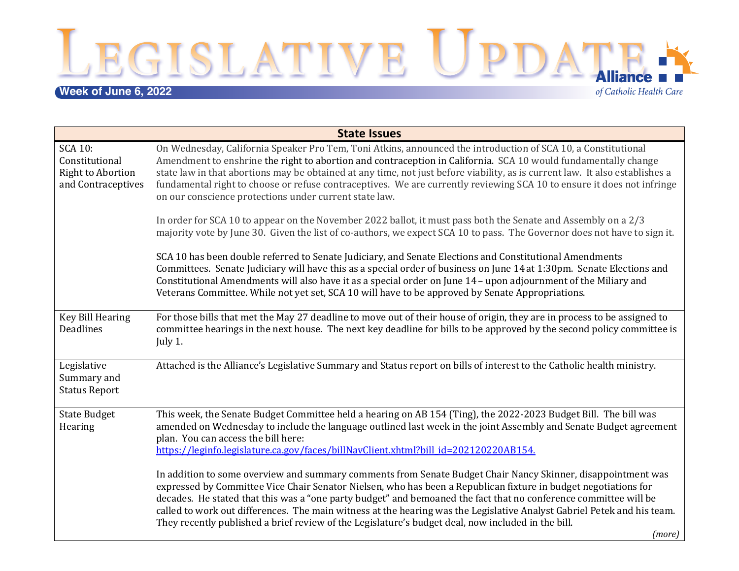LEGISLATIVE UPDATE:

# **Week of June 6, 2022**

of Catholic Health Care

| <b>State Issues</b>                                                                |                                                                                                                                                                                                                                                                                                                                                                                                                                                                                                                                                                                                |  |
|------------------------------------------------------------------------------------|------------------------------------------------------------------------------------------------------------------------------------------------------------------------------------------------------------------------------------------------------------------------------------------------------------------------------------------------------------------------------------------------------------------------------------------------------------------------------------------------------------------------------------------------------------------------------------------------|--|
| <b>SCA 10:</b><br>Constitutional<br><b>Right to Abortion</b><br>and Contraceptives | On Wednesday, California Speaker Pro Tem, Toni Atkins, announced the introduction of SCA 10, a Constitutional<br>Amendment to enshrine the right to abortion and contraception in California. SCA 10 would fundamentally change<br>state law in that abortions may be obtained at any time, not just before viability, as is current law. It also establishes a<br>fundamental right to choose or refuse contraceptives. We are currently reviewing SCA 10 to ensure it does not infringe<br>on our conscience protections under current state law.                                            |  |
|                                                                                    | In order for SCA 10 to appear on the November 2022 ballot, it must pass both the Senate and Assembly on a 2/3<br>majority vote by June 30. Given the list of co-authors, we expect SCA 10 to pass. The Governor does not have to sign it.                                                                                                                                                                                                                                                                                                                                                      |  |
|                                                                                    | SCA 10 has been double referred to Senate Judiciary, and Senate Elections and Constitutional Amendments<br>Committees. Senate Judiciary will have this as a special order of business on June 14 at 1:30pm. Senate Elections and<br>Constitutional Amendments will also have it as a special order on June 14 - upon adjournment of the Miliary and<br>Veterans Committee. While not yet set, SCA 10 will have to be approved by Senate Appropriations.                                                                                                                                        |  |
| <b>Key Bill Hearing</b><br><b>Deadlines</b>                                        | For those bills that met the May 27 deadline to move out of their house of origin, they are in process to be assigned to<br>committee hearings in the next house. The next key deadline for bills to be approved by the second policy committee is<br>July 1.                                                                                                                                                                                                                                                                                                                                  |  |
| Legislative<br>Summary and<br><b>Status Report</b>                                 | Attached is the Alliance's Legislative Summary and Status report on bills of interest to the Catholic health ministry.                                                                                                                                                                                                                                                                                                                                                                                                                                                                         |  |
| <b>State Budget</b><br>Hearing                                                     | This week, the Senate Budget Committee held a hearing on AB 154 (Ting), the 2022-2023 Budget Bill. The bill was<br>amended on Wednesday to include the language outlined last week in the joint Assembly and Senate Budget agreement<br>plan. You can access the bill here:<br>https://leginfo.legislature.ca.gov/faces/billNavClient.xhtml?bill_id=202120220AB154.                                                                                                                                                                                                                            |  |
|                                                                                    | In addition to some overview and summary comments from Senate Budget Chair Nancy Skinner, disappointment was<br>expressed by Committee Vice Chair Senator Nielsen, who has been a Republican fixture in budget negotiations for<br>decades. He stated that this was a "one party budget" and bemoaned the fact that no conference committee will be<br>called to work out differences. The main witness at the hearing was the Legislative Analyst Gabriel Petek and his team.<br>They recently published a brief review of the Legislature's budget deal, now included in the bill.<br>(more) |  |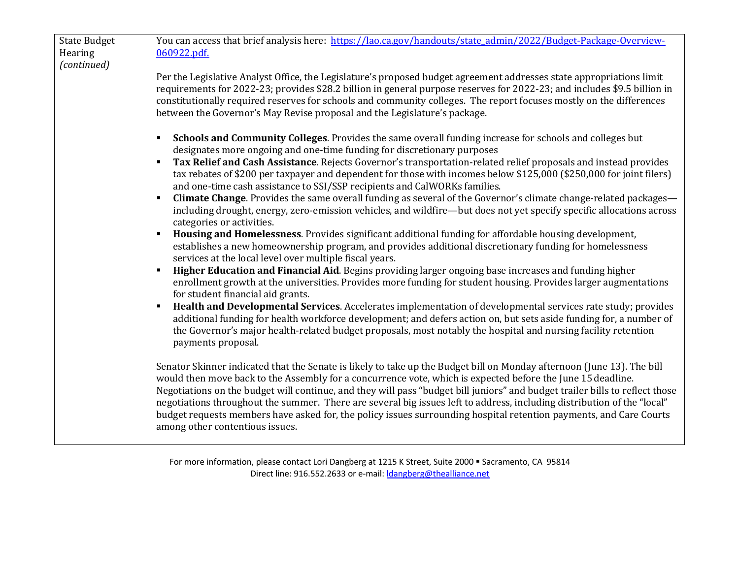| <b>State Budget</b><br>Hearing<br>(continued) | You can access that brief analysis here: https://lao.ca.gov/handouts/state admin/2022/Budget-Package-Overview-<br>060922.pdf.                                                                                                                                                                                                                                                                                                                                                                                                                                                                                                                             |
|-----------------------------------------------|-----------------------------------------------------------------------------------------------------------------------------------------------------------------------------------------------------------------------------------------------------------------------------------------------------------------------------------------------------------------------------------------------------------------------------------------------------------------------------------------------------------------------------------------------------------------------------------------------------------------------------------------------------------|
|                                               | Per the Legislative Analyst Office, the Legislature's proposed budget agreement addresses state appropriations limit<br>requirements for 2022-23; provides \$28.2 billion in general purpose reserves for 2022-23; and includes \$9.5 billion in<br>constitutionally required reserves for schools and community colleges. The report focuses mostly on the differences<br>between the Governor's May Revise proposal and the Legislature's package.                                                                                                                                                                                                      |
|                                               | Schools and Community Colleges. Provides the same overall funding increase for schools and colleges but<br>$\blacksquare$<br>designates more ongoing and one-time funding for discretionary purposes<br>Tax Relief and Cash Assistance. Rejects Governor's transportation-related relief proposals and instead provides<br>$\blacksquare$<br>tax rebates of \$200 per taxpayer and dependent for those with incomes below \$125,000 (\$250,000 for joint filers)                                                                                                                                                                                          |
|                                               | and one-time cash assistance to SSI/SSP recipients and CalWORKs families.<br><b>Climate Change</b> . Provides the same overall funding as several of the Governor's climate change-related packages—<br>$\blacksquare$<br>including drought, energy, zero-emission vehicles, and wildfire-but does not yet specify specific allocations across<br>categories or activities.                                                                                                                                                                                                                                                                               |
|                                               | Housing and Homelessness. Provides significant additional funding for affordable housing development,<br>$\blacksquare$<br>establishes a new homeownership program, and provides additional discretionary funding for homelessness<br>services at the local level over multiple fiscal years.                                                                                                                                                                                                                                                                                                                                                             |
|                                               | Higher Education and Financial Aid. Begins providing larger ongoing base increases and funding higher<br>$\blacksquare$<br>enrollment growth at the universities. Provides more funding for student housing. Provides larger augmentations<br>for student financial aid grants.                                                                                                                                                                                                                                                                                                                                                                           |
|                                               | Health and Developmental Services. Accelerates implementation of developmental services rate study; provides<br>additional funding for health workforce development; and defers action on, but sets aside funding for, a number of<br>the Governor's major health-related budget proposals, most notably the hospital and nursing facility retention<br>payments proposal.                                                                                                                                                                                                                                                                                |
|                                               | Senator Skinner indicated that the Senate is likely to take up the Budget bill on Monday afternoon (June 13). The bill<br>would then move back to the Assembly for a concurrence vote, which is expected before the June 15 deadline.<br>Negotiations on the budget will continue, and they will pass "budget bill juniors" and budget trailer bills to reflect those<br>negotiations throughout the summer. There are several big issues left to address, including distribution of the "local"<br>budget requests members have asked for, the policy issues surrounding hospital retention payments, and Care Courts<br>among other contentious issues. |

For more information, please contact Lori Dangberg at 1215 K Street, Suite 2000 · Sacramento, CA 95814 Direct line: 916.552.2633 or e-mail: *dangberg@thealliance.net*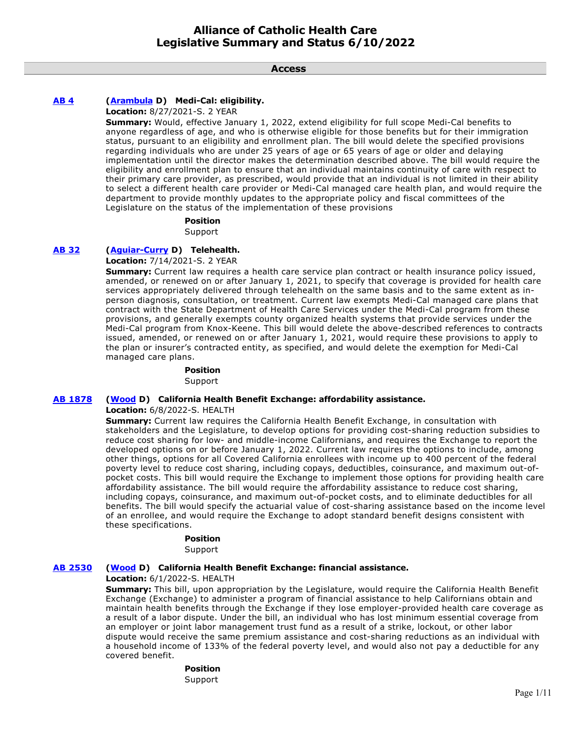**Access**

# **[AB 4](https://ctweb.capitoltrack.com/public/publishbillinfo.aspx?bi=KFYvdnrQA6jwmrfrltwrGrrFnSkRokeQ%2FM0ZywFJQAneFJv%2BL9bnd1kPGDvpRuAa) [\(Arambula](https://a31.asmdc.org/) D) Medi-Cal: eligibility.**

**Location:** 8/27/2021-S. 2 YEAR

**Summary:** Would, effective January 1, 2022, extend eligibility for full scope Medi-Cal benefits to anyone regardless of age, and who is otherwise eligible for those benefits but for their immigration status, pursuant to an eligibility and enrollment plan. The bill would delete the specified provisions regarding individuals who are under 25 years of age or 65 years of age or older and delaying implementation until the director makes the determination described above. The bill would require the eligibility and enrollment plan to ensure that an individual maintains continuity of care with respect to their primary care provider, as prescribed, would provide that an individual is not limited in their ability to select a different health care provider or Medi-Cal managed care health plan, and would require the department to provide monthly updates to the appropriate policy and fiscal committees of the Legislature on the status of the implementation of these provisions

#### **Position**

Support

# **[AB 32](https://ctweb.capitoltrack.com/public/publishbillinfo.aspx?bi=0t9Iy%2FDTsh3uhPPaP7nN4QGwXxcrKJaSU%2FCFlMIgdjHlVpWBWWvl7svuvkAHFERM) [\(Aguiar-Curry](https://a04.asmdc.org/) D) Telehealth.**

**Location:** 7/14/2021-S. 2 YEAR

**Summary:** Current law requires a health care service plan contract or health insurance policy issued, amended, or renewed on or after January 1, 2021, to specify that coverage is provided for health care services appropriately delivered through telehealth on the same basis and to the same extent as inperson diagnosis, consultation, or treatment. Current law exempts Medi-Cal managed care plans that contract with the State Department of Health Care Services under the Medi-Cal program from these provisions, and generally exempts county organized health systems that provide services under the Medi-Cal program from Knox-Keene. This bill would delete the above-described references to contracts issued, amended, or renewed on or after January 1, 2021, would require these provisions to apply to the plan or insurer's contracted entity, as specified, and would delete the exemption for Medi-Cal managed care plans.

# **Position**

Support

# **[AB 1878](https://ctweb.capitoltrack.com/public/publishbillinfo.aspx?bi=GAMwRI5IoJT9WrHL5n%2Bkp8Pl3Ngx9zMETe4nirjfzmmf5Z9HlGltw8x1zpAGdnog) [\(Wood](https://a02.asmdc.org/) D) California Health Benefit Exchange: affordability assistance.**

**Location:** 6/8/2022-S. HEALTH

**Summary:** Current law requires the California Health Benefit Exchange, in consultation with stakeholders and the Legislature, to develop options for providing cost-sharing reduction subsidies to reduce cost sharing for low- and middle-income Californians, and requires the Exchange to report the developed options on or before January 1, 2022. Current law requires the options to include, among other things, options for all Covered California enrollees with income up to 400 percent of the federal poverty level to reduce cost sharing, including copays, deductibles, coinsurance, and maximum out-ofpocket costs. This bill would require the Exchange to implement those options for providing health care affordability assistance. The bill would require the affordability assistance to reduce cost sharing, including copays, coinsurance, and maximum out-of-pocket costs, and to eliminate deductibles for all benefits. The bill would specify the actuarial value of cost-sharing assistance based on the income level of an enrollee, and would require the Exchange to adopt standard benefit designs consistent with these specifications.

# **Position**

Support

# **[AB 2530](https://ctweb.capitoltrack.com/public/publishbillinfo.aspx?bi=VZsIuBPqenTBa%2FAc3wVOCMIwATlWsmbaNDO%2FSiWq%2FJG9imXKa8XljxIk1SGFNkvV) [\(Wood](https://a02.asmdc.org/) D) California Health Benefit Exchange: financial assistance.**

#### **Location:** 6/1/2022-S. HEALTH

**Summary:** This bill, upon appropriation by the Legislature, would require the California Health Benefit Exchange (Exchange) to administer a program of financial assistance to help Californians obtain and maintain health benefits through the Exchange if they lose employer-provided health care coverage as a result of a labor dispute. Under the bill, an individual who has lost minimum essential coverage from an employer or joint labor management trust fund as a result of a strike, lockout, or other labor dispute would receive the same premium assistance and cost-sharing reductions as an individual with a household income of 133% of the federal poverty level, and would also not pay a deductible for any covered benefit.

# **Position**

Support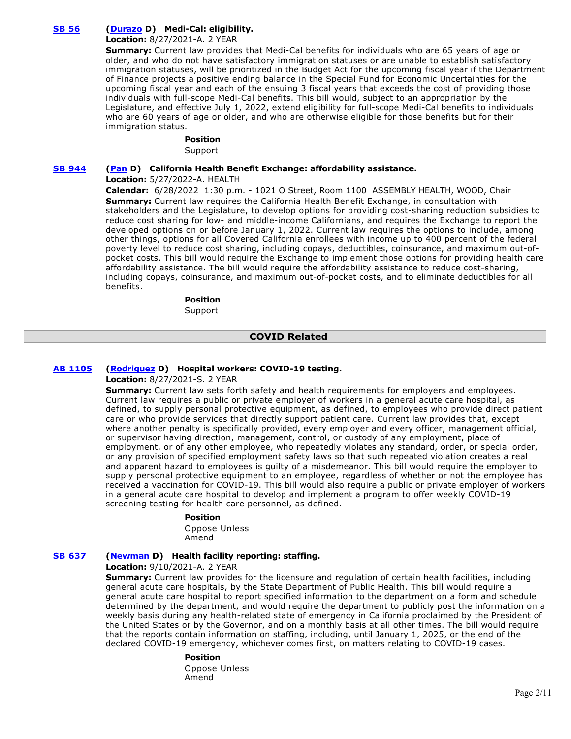# **[SB 56](https://ctweb.capitoltrack.com/public/publishbillinfo.aspx?bi=IHVUG%2FNRNIfXwOxiI9YqyDGCwMPVuHR9m0HdI%2BzVhapXlwnjfJdZucyWxXUdHS%2Fj) [\(Durazo](http://sd24.senate.ca.gov/) D) Medi-Cal: eligibility.**

# **Location:** 8/27/2021-A. 2 YEAR

**Summary:** Current law provides that Medi-Cal benefits for individuals who are 65 years of age or older, and who do not have satisfactory immigration statuses or are unable to establish satisfactory immigration statuses, will be prioritized in the Budget Act for the upcoming fiscal year if the Department of Finance projects a positive ending balance in the Special Fund for Economic Uncertainties for the upcoming fiscal year and each of the ensuing 3 fiscal years that exceeds the cost of providing those individuals with full-scope Medi-Cal benefits. This bill would, subject to an appropriation by the Legislature, and effective July 1, 2022, extend eligibility for full-scope Medi-Cal benefits to individuals who are 60 years of age or older, and who are otherwise eligible for those benefits but for their immigration status.

### **Position**

Support

# **[SB 944](https://ctweb.capitoltrack.com/public/publishbillinfo.aspx?bi=%2FzsZ5QTVs4wbwvbps%2Bp9YvPLd%2FwNRw0N4vUPcLf3yiJKWQ2NrzEMrMKckOYf9OuF) [\(Pan](http://sd06.senate.ca.gov/) D) California Health Benefit Exchange: affordability assistance.**

**Location:** 5/27/2022-A. HEALTH

**Calendar:** 6/28/2022 1:30 p.m. - 1021 O Street, Room 1100 ASSEMBLY HEALTH, WOOD, Chair **Summary:** Current law requires the California Health Benefit Exchange, in consultation with stakeholders and the Legislature, to develop options for providing cost-sharing reduction subsidies to reduce cost sharing for low- and middle-income Californians, and requires the Exchange to report the developed options on or before January 1, 2022. Current law requires the options to include, among other things, options for all Covered California enrollees with income up to 400 percent of the federal poverty level to reduce cost sharing, including copays, deductibles, coinsurance, and maximum out-ofpocket costs. This bill would require the Exchange to implement those options for providing health care affordability assistance. The bill would require the affordability assistance to reduce cost-sharing, including copays, coinsurance, and maximum out-of-pocket costs, and to eliminate deductibles for all benefits.

# **Position**

Support

# **COVID Related**

# **[AB 1105](https://ctweb.capitoltrack.com/public/publishbillinfo.aspx?bi=hiMHI%2FFzRHqLRQcFntn%2B%2FNvArtAVnjMKOUrA1hSavVJ64vRkYFefMgHJl1S1m5oV) [\(Rodriguez](https://a52.asmdc.org/) D) Hospital workers: COVID-19 testing.**

**Location:** 8/27/2021-S. 2 YEAR

**Summary:** Current law sets forth safety and health requirements for employers and employees. Current law requires a public or private employer of workers in a general acute care hospital, as defined, to supply personal protective equipment, as defined, to employees who provide direct patient care or who provide services that directly support patient care. Current law provides that, except where another penalty is specifically provided, every employer and every officer, management official, or supervisor having direction, management, control, or custody of any employment, place of employment, or of any other employee, who repeatedly violates any standard, order, or special order, or any provision of specified employment safety laws so that such repeated violation creates a real and apparent hazard to employees is guilty of a misdemeanor. This bill would require the employer to supply personal protective equipment to an employee, regardless of whether or not the employee has received a vaccination for COVID-19. This bill would also require a public or private employer of workers in a general acute care hospital to develop and implement a program to offer weekly COVID-19 screening testing for health care personnel, as defined.

#### **Position**

Oppose Unless Amend

# **[SB 637](https://ctweb.capitoltrack.com/public/publishbillinfo.aspx?bi=jty8Oh9%2FB4LwUwfxVBDg2GE8TVcQ8Dq2QDUBofHA3ZtTvmLyiZ6pbei5GkqYnutQ) [\(Newman](https://sd29.senate.ca.gov/) D) Health facility reporting: staffing.**

**Location:** 9/10/2021-A. 2 YEAR

**Summary:** Current law provides for the licensure and regulation of certain health facilities, including general acute care hospitals, by the State Department of Public Health. This bill would require a general acute care hospital to report specified information to the department on a form and schedule determined by the department, and would require the department to publicly post the information on a weekly basis during any health-related state of emergency in California proclaimed by the President of the United States or by the Governor, and on a monthly basis at all other times. The bill would require that the reports contain information on staffing, including, until January 1, 2025, or the end of the declared COVID-19 emergency, whichever comes first, on matters relating to COVID-19 cases.

#### **Position**  Oppose Unless Amend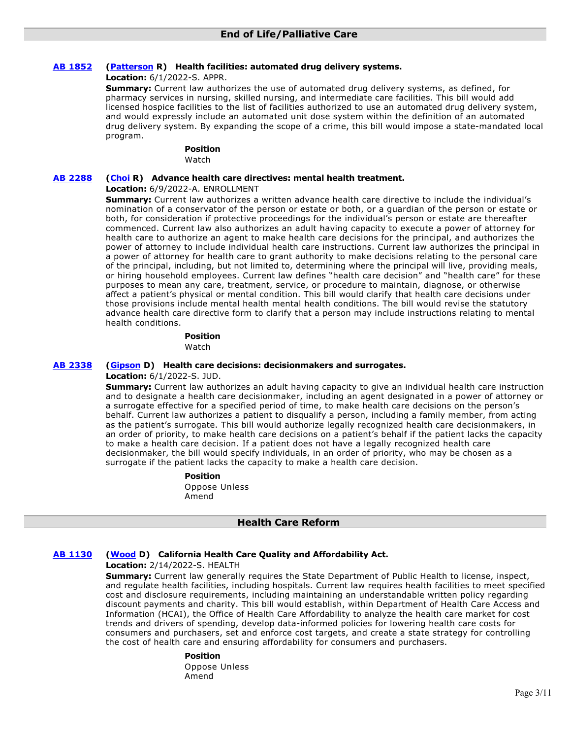# **[AB 1852](https://ctweb.capitoltrack.com/public/publishbillinfo.aspx?bi=qualm%2FeNgpyo4JVNTWrO8T9CvcoE02PfTRNruTZu1vEziksjmt5ztJjoFdLRH3zD) [\(Patterson](https://ad23.asmrc.org/) R) Health facilities: automated drug delivery systems.**

**Location:** 6/1/2022-S. APPR.

**Summary:** Current law authorizes the use of automated drug delivery systems, as defined, for pharmacy services in nursing, skilled nursing, and intermediate care facilities. This bill would add licensed hospice facilities to the list of facilities authorized to use an automated drug delivery system, and would expressly include an automated unit dose system within the definition of an automated drug delivery system. By expanding the scope of a crime, this bill would impose a state-mandated local program.

# **Position**

Watch

# **[AB 2288](https://ctweb.capitoltrack.com/public/publishbillinfo.aspx?bi=8c%2FVel10Jx83p5eIMZPHKV8DGDS1Sz6uWw6AVtQYGCxcUPvvWBLXATEKpde3pwAP) [\(Choi](https://ad68.asmrc.org/) R) Advance health care directives: mental health treatment.**

### **Location:** 6/9/2022-A. ENROLLMENT

**Summary:** Current law authorizes a written advance health care directive to include the individual's nomination of a conservator of the person or estate or both, or a guardian of the person or estate or both, for consideration if protective proceedings for the individual's person or estate are thereafter commenced. Current law also authorizes an adult having capacity to execute a power of attorney for health care to authorize an agent to make health care decisions for the principal, and authorizes the power of attorney to include individual health care instructions. Current law authorizes the principal in a power of attorney for health care to grant authority to make decisions relating to the personal care of the principal, including, but not limited to, determining where the principal will live, providing meals, or hiring household employees. Current law defines "health care decision" and "health care" for these purposes to mean any care, treatment, service, or procedure to maintain, diagnose, or otherwise affect a patient's physical or mental condition. This bill would clarify that health care decisions under those provisions include mental health mental health conditions. The bill would revise the statutory advance health care directive form to clarify that a person may include instructions relating to mental health conditions.

### **Position**  Watch

### **[AB 2338](https://ctweb.capitoltrack.com/public/publishbillinfo.aspx?bi=Ub8m8V4g1oocGgpChFB9sihH%2FmaIwllM7ISC2afdUyBBvuf4PvZaAQlpFci1laP1) [\(Gipson](https://a64.asmdc.org/) D) Health care decisions: decisionmakers and surrogates.**

**Location:** 6/1/2022-S. JUD.

**Summary:** Current law authorizes an adult having capacity to give an individual health care instruction and to designate a health care decisionmaker, including an agent designated in a power of attorney or a surrogate effective for a specified period of time, to make health care decisions on the person's behalf. Current law authorizes a patient to disqualify a person, including a family member, from acting as the patient's surrogate. This bill would authorize legally recognized health care decisionmakers, in an order of priority, to make health care decisions on a patient's behalf if the patient lacks the capacity to make a health care decision. If a patient does not have a legally recognized health care decisionmaker, the bill would specify individuals, in an order of priority, who may be chosen as a surrogate if the patient lacks the capacity to make a health care decision.

# **Position**

Oppose Unless Amend

# **Health Care Reform**

# **[AB 1130](https://ctweb.capitoltrack.com/public/publishbillinfo.aspx?bi=%2F4z9i3w3Ci6H9IC%2FhaF12B%2FZNVr8Dnz3doTjoBJ49C99Q647aqTNngzgXS1VHZrx) [\(Wood](https://a02.asmdc.org/) D) California Health Care Quality and Affordability Act.**

**Location:** 2/14/2022-S. HEALTH

**Summary:** Current law generally requires the State Department of Public Health to license, inspect, and regulate health facilities, including hospitals. Current law requires health facilities to meet specified cost and disclosure requirements, including maintaining an understandable written policy regarding discount payments and charity. This bill would establish, within Department of Health Care Access and Information (HCAI), the Office of Health Care Affordability to analyze the health care market for cost trends and drivers of spending, develop data-informed policies for lowering health care costs for consumers and purchasers, set and enforce cost targets, and create a state strategy for controlling the cost of health care and ensuring affordability for consumers and purchasers.

# **Position**

Oppose Unless Amend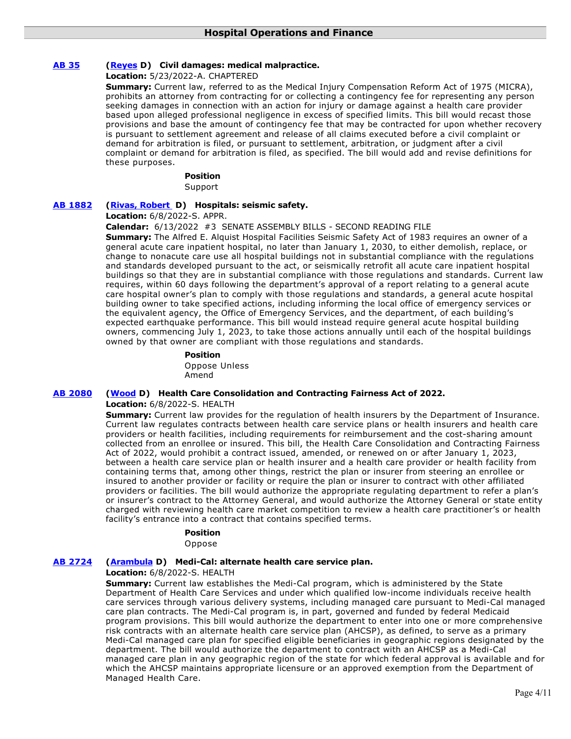# **[AB 35](https://ctweb.capitoltrack.com/public/publishbillinfo.aspx?bi=7Y0gKL9VlIU7ThSmQw%2FYv1jbhBJT%2FD8SYj2%2F91VOlPOLXgPlhuYR%2ByClgxoYCP8R) [\(Reyes](https://a47.asmdc.org/) D) Civil damages: medical malpractice.**

# **Location:** 5/23/2022-A. CHAPTERED

**Summary:** Current law, referred to as the Medical Injury Compensation Reform Act of 1975 (MICRA), prohibits an attorney from contracting for or collecting a contingency fee for representing any person seeking damages in connection with an action for injury or damage against a health care provider based upon alleged professional negligence in excess of specified limits. This bill would recast those provisions and base the amount of contingency fee that may be contracted for upon whether recovery is pursuant to settlement agreement and release of all claims executed before a civil complaint or demand for arbitration is filed, or pursuant to settlement, arbitration, or judgment after a civil complaint or demand for arbitration is filed, as specified. The bill would add and revise definitions for these purposes.

#### **Position**

**Support** 

# **[AB 1882](https://ctweb.capitoltrack.com/public/publishbillinfo.aspx?bi=VPXAvDj9pG%2FqwduV4rLG761q0j5l7nLqcVa9%2FuXBzFKRhN9Jnm5qbtXyicq%2B7zSQ) [\(Rivas, Robert](https://a30.asmdc.org/)  D) Hospitals: seismic safety.**

**Location:** 6/8/2022-S. APPR.

#### **Calendar:** 6/13/2022 #3 SENATE ASSEMBLY BILLS - SECOND READING FILE

**Summary:** The Alfred E. Alquist Hospital Facilities Seismic Safety Act of 1983 requires an owner of a general acute care inpatient hospital, no later than January 1, 2030, to either demolish, replace, or change to nonacute care use all hospital buildings not in substantial compliance with the regulations and standards developed pursuant to the act, or seismically retrofit all acute care inpatient hospital buildings so that they are in substantial compliance with those regulations and standards. Current law requires, within 60 days following the department's approval of a report relating to a general acute care hospital owner's plan to comply with those regulations and standards, a general acute hospital building owner to take specified actions, including informing the local office of emergency services or the equivalent agency, the Office of Emergency Services, and the department, of each building's expected earthquake performance. This bill would instead require general acute hospital building owners, commencing July 1, 2023, to take those actions annually until each of the hospital buildings owned by that owner are compliant with those regulations and standards.

# **Position**  Oppose Unless Amend

# **[AB 2080](https://ctweb.capitoltrack.com/public/publishbillinfo.aspx?bi=BrMjSa%2Fp%2B1el0x0mo99xnVN%2F4Zn67hWfXnFDoLyihAQ6jctZGFDaEIKaaRhMBJoG) [\(Wood](https://a02.asmdc.org/) D) Health Care Consolidation and Contracting Fairness Act of 2022.**

### **Location:** 6/8/2022-S. HEALTH

**Summary:** Current law provides for the regulation of health insurers by the Department of Insurance. Current law regulates contracts between health care service plans or health insurers and health care providers or health facilities, including requirements for reimbursement and the cost-sharing amount collected from an enrollee or insured. This bill, the Health Care Consolidation and Contracting Fairness Act of 2022, would prohibit a contract issued, amended, or renewed on or after January 1, 2023, between a health care service plan or health insurer and a health care provider or health facility from containing terms that, among other things, restrict the plan or insurer from steering an enrollee or insured to another provider or facility or require the plan or insurer to contract with other affiliated providers or facilities. The bill would authorize the appropriate regulating department to refer a plan's or insurer's contract to the Attorney General, and would authorize the Attorney General or state entity charged with reviewing health care market competition to review a health care practitioner's or health facility's entrance into a contract that contains specified terms.

#### **Position**

Oppose

# **[AB 2724](https://ctweb.capitoltrack.com/public/publishbillinfo.aspx?bi=87zZT%2BgcOhFNBkX00iCCDlRJesDpMdThi05DVxph1WMjt4wiQHTVchVtgdOI00s5) [\(Arambula](https://a31.asmdc.org/) D) Medi-Cal: alternate health care service plan.**

# **Location:** 6/8/2022-S. HEALTH

**Summary:** Current law establishes the Medi-Cal program, which is administered by the State Department of Health Care Services and under which qualified low-income individuals receive health care services through various delivery systems, including managed care pursuant to Medi-Cal managed care plan contracts. The Medi-Cal program is, in part, governed and funded by federal Medicaid program provisions. This bill would authorize the department to enter into one or more comprehensive risk contracts with an alternate health care service plan (AHCSP), as defined, to serve as a primary Medi-Cal managed care plan for specified eligible beneficiaries in geographic regions designated by the department. The bill would authorize the department to contract with an AHCSP as a Medi-Cal managed care plan in any geographic region of the state for which federal approval is available and for which the AHCSP maintains appropriate licensure or an approved exemption from the Department of Managed Health Care.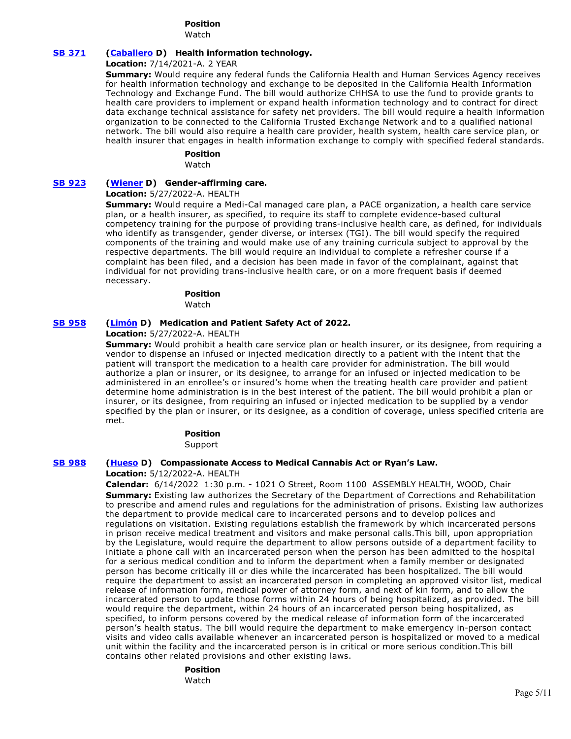# **Position**

Watch

# **[SB 371](https://ctweb.capitoltrack.com/public/publishbillinfo.aspx?bi=FKwFW94dXa0YDM7%2FpE%2Fd%2FQvILqz%2BYUfpxz%2FPoEZWfSJmws%2Fn2%2F58%2B%2BM0%2BQkCCvcS) [\(Caballero](https://sd12.senate.ca.gov/) D) Health information technology.**

**Location:** 7/14/2021-A. 2 YEAR

**Summary:** Would require any federal funds the California Health and Human Services Agency receives for health information technology and exchange to be deposited in the California Health Information Technology and Exchange Fund. The bill would authorize CHHSA to use the fund to provide grants to health care providers to implement or expand health information technology and to contract for direct data exchange technical assistance for safety net providers. The bill would require a health information organization to be connected to the California Trusted Exchange Network and to a qualified national network. The bill would also require a health care provider, health system, health care service plan, or health insurer that engages in health information exchange to comply with specified federal standards.

# **Position**

Watch

# **[SB 923](https://ctweb.capitoltrack.com/public/publishbillinfo.aspx?bi=39pazsEbiOuX5VLjSaWCmTpAMGWuE9SkxQBy5CHsmAeEKA46%2B7M3zeKfcJ1Ac4e6) [\(Wiener](http://sd11.senate.ca.gov/) D) Gender-affirming care.**

### **Location:** 5/27/2022-A. HEALTH

**Summary:** Would require a Medi-Cal managed care plan, a PACE organization, a health care service plan, or a health insurer, as specified, to require its staff to complete evidence-based cultural competency training for the purpose of providing trans-inclusive health care, as defined, for individuals who identify as transgender, gender diverse, or intersex (TGI). The bill would specify the required components of the training and would make use of any training curricula subject to approval by the respective departments. The bill would require an individual to complete a refresher course if a complaint has been filed, and a decision has been made in favor of the complainant, against that individual for not providing trans-inclusive health care, or on a more frequent basis if deemed necessary.

# **Position**

Watch

# **[SB 958](https://ctweb.capitoltrack.com/public/publishbillinfo.aspx?bi=TmxQzrW7K42F5U7topB%2Fsd6BFt9G9v5WzRLRsZkfrXtFhSBM%2BYWUSmRBcBAbfmA2) [\(Limón](http://sd19.senate.ca.gov/) D) Medication and Patient Safety Act of 2022.**

**Location:** 5/27/2022-A. HEALTH

**Summary:** Would prohibit a health care service plan or health insurer, or its designee, from requiring a vendor to dispense an infused or injected medication directly to a patient with the intent that the patient will transport the medication to a health care provider for administration. The bill would authorize a plan or insurer, or its designee, to arrange for an infused or injected medication to be administered in an enrollee's or insured's home when the treating health care provider and patient determine home administration is in the best interest of the patient. The bill would prohibit a plan or insurer, or its designee, from requiring an infused or injected medication to be supplied by a vendor specified by the plan or insurer, or its designee, as a condition of coverage, unless specified criteria are met.

# **Position**

Support

# **[SB 988](https://ctweb.capitoltrack.com/public/publishbillinfo.aspx?bi=F7CG%2BT%2BNdNyOJ507U6RjjvW7rDsASagLmcuZ64LyFVUAHXbTn9BlVmjyYTgF1QL6) [\(Hueso](http://sd40.senate.ca.gov/) D) Compassionate Access to Medical Cannabis Act or Ryan's Law.**

#### **Location:** 5/12/2022-A. HEALTH

**Calendar:** 6/14/2022 1:30 p.m. - 1021 O Street, Room 1100 ASSEMBLY HEALTH, WOOD, Chair **Summary:** Existing law authorizes the Secretary of the Department of Corrections and Rehabilitation to prescribe and amend rules and regulations for the administration of prisons. Existing law authorizes the department to provide medical care to incarcerated persons and to develop polices and regulations on visitation. Existing regulations establish the framework by which incarcerated persons in prison receive medical treatment and visitors and make personal calls.This bill, upon appropriation by the Legislature, would require the department to allow persons outside of a department facility to initiate a phone call with an incarcerated person when the person has been admitted to the hospital for a serious medical condition and to inform the department when a family member or designated person has become critically ill or dies while the incarcerated has been hospitalized. The bill would require the department to assist an incarcerated person in completing an approved visitor list, medical release of information form, medical power of attorney form, and next of kin form, and to allow the incarcerated person to update those forms within 24 hours of being hospitalized, as provided. The bill would require the department, within 24 hours of an incarcerated person being hospitalized, as specified, to inform persons covered by the medical release of information form of the incarcerated person's health status. The bill would require the department to make emergency in-person contact visits and video calls available whenever an incarcerated person is hospitalized or moved to a medical unit within the facility and the incarcerated person is in critical or more serious condition.This bill contains other related provisions and other existing laws.

#### **Position**

Watch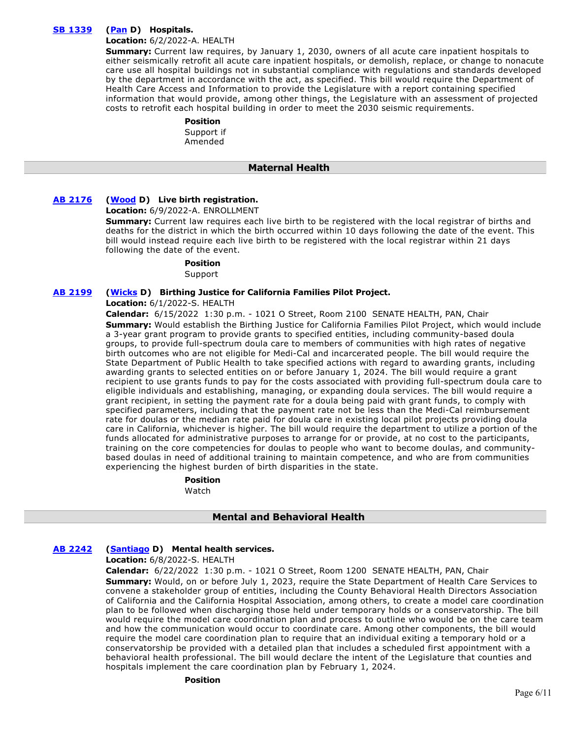# **[SB 1339](https://ctweb.capitoltrack.com/public/publishbillinfo.aspx?bi=M4%2FWAIBkDIxPIq%2B4Pg%2BH9mCLP0SUdmtN3OsXIg1YITaIdGmpiRHbPWtnSe35fDxi) [\(Pan](http://sd06.senate.ca.gov/) D) Hospitals.**

#### **Location:** 6/2/2022-A. HEALTH

**Summary:** Current law requires, by January 1, 2030, owners of all acute care inpatient hospitals to either seismically retrofit all acute care inpatient hospitals, or demolish, replace, or change to nonacute care use all hospital buildings not in substantial compliance with regulations and standards developed by the department in accordance with the act, as specified. This bill would require the Department of Health Care Access and Information to provide the Legislature with a report containing specified information that would provide, among other things, the Legislature with an assessment of projected costs to retrofit each hospital building in order to meet the 2030 seismic requirements.

#### **Position**  Support if

Amended

# **Maternal Health**

# **[AB 2176](https://ctweb.capitoltrack.com/public/publishbillinfo.aspx?bi=HR5stFFQM15tK2ecm1FQBtQ2R9yfZG%2F%2FxuYPRWUzWzI3lF7e%2FBS%2FdDYhYzD3Z1Jp) [\(Wood](https://a02.asmdc.org/) D) Live birth registration.**

**Location:** 6/9/2022-A. ENROLLMENT

**Summary:** Current law requires each live birth to be registered with the local registrar of births and deaths for the district in which the birth occurred within 10 days following the date of the event. This bill would instead require each live birth to be registered with the local registrar within 21 days following the date of the event.

#### **Position**

Support

# **[AB 2199](https://ctweb.capitoltrack.com/public/publishbillinfo.aspx?bi=B97llTW33MVSMinNtoGET%2Fw1JtFyrvCEcXQnAzzfEb%2B%2BbT%2B%2BVjbwDDHRNwo4DirP) [\(Wicks](https://a15.asmdc.org/) D) Birthing Justice for California Families Pilot Project.**

**Location:** 6/1/2022-S. HEALTH

**Calendar:** 6/15/2022 1:30 p.m. - 1021 O Street, Room 2100 SENATE HEALTH, PAN, Chair **Summary:** Would establish the Birthing Justice for California Families Pilot Project, which would include a 3-year grant program to provide grants to specified entities, including community-based doula groups, to provide full-spectrum doula care to members of communities with high rates of negative birth outcomes who are not eligible for Medi-Cal and incarcerated people. The bill would require the State Department of Public Health to take specified actions with regard to awarding grants, including awarding grants to selected entities on or before January 1, 2024. The bill would require a grant recipient to use grants funds to pay for the costs associated with providing full-spectrum doula care to eligible individuals and establishing, managing, or expanding doula services. The bill would require a grant recipient, in setting the payment rate for a doula being paid with grant funds, to comply with specified parameters, including that the payment rate not be less than the Medi-Cal reimbursement rate for doulas or the median rate paid for doula care in existing local pilot projects providing doula care in California, whichever is higher. The bill would require the department to utilize a portion of the funds allocated for administrative purposes to arrange for or provide, at no cost to the participants, training on the core competencies for doulas to people who want to become doulas, and communitybased doulas in need of additional training to maintain competence, and who are from communities experiencing the highest burden of birth disparities in the state.

**Position** 

Watch

# **Mental and Behavioral Health**

# **[AB 2242](https://ctweb.capitoltrack.com/public/publishbillinfo.aspx?bi=tW0Px2k928GoYUqUlBpNc5D%2BTT3JazR3dDOUvNpT%2FdLWNwRgq%2B%2BcTLa8ikiTOeNH) [\(Santiago](https://a53.asmdc.org/) D) Mental health services.**

**Location:** 6/8/2022-S. HEALTH

**Calendar:** 6/22/2022 1:30 p.m. - 1021 O Street, Room 1200 SENATE HEALTH, PAN, Chair **Summary:** Would, on or before July 1, 2023, require the State Department of Health Care Services to convene a stakeholder group of entities, including the County Behavioral Health Directors Association of California and the California Hospital Association, among others, to create a model care coordination plan to be followed when discharging those held under temporary holds or a conservatorship. The bill would require the model care coordination plan and process to outline who would be on the care team and how the communication would occur to coordinate care. Among other components, the bill would require the model care coordination plan to require that an individual exiting a temporary hold or a conservatorship be provided with a detailed plan that includes a scheduled first appointment with a behavioral health professional. The bill would declare the intent of the Legislature that counties and hospitals implement the care coordination plan by February 1, 2024.

#### **Position**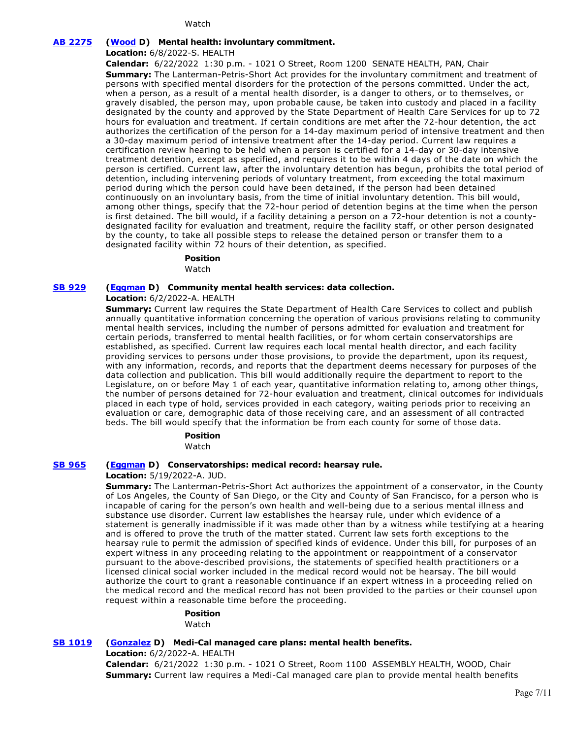Watch

# **[AB 2275](https://ctweb.capitoltrack.com/public/publishbillinfo.aspx?bi=6%2B4eC%2F2OHK4kZpkW4rQYXdsRhhq65kyQXKEeISRQgKwMRP5lhgytut8yJKWj%2Bb%2F%2B) [\(Wood](https://a02.asmdc.org/) D) Mental health: involuntary commitment.**

**Location:** 6/8/2022-S. HEALTH

**Calendar:** 6/22/2022 1:30 p.m. - 1021 O Street, Room 1200 SENATE HEALTH, PAN, Chair **Summary:** The Lanterman-Petris-Short Act provides for the involuntary commitment and treatment of persons with specified mental disorders for the protection of the persons committed. Under the act, when a person, as a result of a mental health disorder, is a danger to others, or to themselves, or gravely disabled, the person may, upon probable cause, be taken into custody and placed in a facility designated by the county and approved by the State Department of Health Care Services for up to 72 hours for evaluation and treatment. If certain conditions are met after the 72-hour detention, the act authorizes the certification of the person for a 14-day maximum period of intensive treatment and then a 30-day maximum period of intensive treatment after the 14-day period. Current law requires a certification review hearing to be held when a person is certified for a 14-day or 30-day intensive treatment detention, except as specified, and requires it to be within 4 days of the date on which the person is certified. Current law, after the involuntary detention has begun, prohibits the total period of detention, including intervening periods of voluntary treatment, from exceeding the total maximum period during which the person could have been detained, if the person had been detained continuously on an involuntary basis, from the time of initial involuntary detention. This bill would, among other things, specify that the 72-hour period of detention begins at the time when the person is first detained. The bill would, if a facility detaining a person on a 72-hour detention is not a countydesignated facility for evaluation and treatment, require the facility staff, or other person designated by the county, to take all possible steps to release the detained person or transfer them to a designated facility within 72 hours of their detention, as specified.

#### **Position**

Watch

# **[SB 929](https://ctweb.capitoltrack.com/public/publishbillinfo.aspx?bi=K1EgGJfTiuEq7osejnFiAvKE0cv5VAYh3Egp6x3ASrir6ID8%2BVA4DnZaIUHlfT%2Bp) [\(Eggman](http://sd05.senate.ca.gov/) D) Community mental health services: data collection.**

#### **Location:** 6/2/2022-A. HEALTH

**Summary:** Current law requires the State Department of Health Care Services to collect and publish annually quantitative information concerning the operation of various provisions relating to community mental health services, including the number of persons admitted for evaluation and treatment for certain periods, transferred to mental health facilities, or for whom certain conservatorships are established, as specified. Current law requires each local mental health director, and each facility providing services to persons under those provisions, to provide the department, upon its request, with any information, records, and reports that the department deems necessary for purposes of the data collection and publication. This bill would additionally require the department to report to the Legislature, on or before May 1 of each year, quantitative information relating to, among other things, the number of persons detained for 72-hour evaluation and treatment, clinical outcomes for individuals placed in each type of hold, services provided in each category, waiting periods prior to receiving an evaluation or care, demographic data of those receiving care, and an assessment of all contracted beds. The bill would specify that the information be from each county for some of those data.

# **Position**

Watch

# **[SB 965](https://ctweb.capitoltrack.com/public/publishbillinfo.aspx?bi=EcBoEmtCkfUIgWFS60%2BT2jNFPGjQW4TEFSyUZPg5nHkbDrTBqIA0Hg4CBeChnTGO) [\(Eggman](http://sd05.senate.ca.gov/) D) Conservatorships: medical record: hearsay rule.**

#### **Location:** 5/19/2022-A. JUD.

**Summary:** The Lanterman-Petris-Short Act authorizes the appointment of a conservator, in the County of Los Angeles, the County of San Diego, or the City and County of San Francisco, for a person who is incapable of caring for the person's own health and well-being due to a serious mental illness and substance use disorder. Current law establishes the hearsay rule, under which evidence of a statement is generally inadmissible if it was made other than by a witness while testifying at a hearing and is offered to prove the truth of the matter stated. Current law sets forth exceptions to the hearsay rule to permit the admission of specified kinds of evidence. Under this bill, for purposes of an expert witness in any proceeding relating to the appointment or reappointment of a conservator pursuant to the above-described provisions, the statements of specified health practitioners or a licensed clinical social worker included in the medical record would not be hearsay. The bill would authorize the court to grant a reasonable continuance if an expert witness in a proceeding relied on the medical record and the medical record has not been provided to the parties or their counsel upon request within a reasonable time before the proceeding.

#### **Position**

**Watch** 

# **[SB 1019](https://ctweb.capitoltrack.com/public/publishbillinfo.aspx?bi=CB4uoxlx3KlgPDSkItME2Mct4%2BnWQivAzuUEA%2FGtJKGOZVg9zDoiwk%2FgdZsrbHgM) [\(Gonzalez](https://sd33.senate.ca.gov/) D) Medi-Cal managed care plans: mental health benefits.**

**Location:** 6/2/2022-A. HEALTH

**Calendar:** 6/21/2022 1:30 p.m. - 1021 O Street, Room 1100 ASSEMBLY HEALTH, WOOD, Chair **Summary:** Current law requires a Medi-Cal managed care plan to provide mental health benefits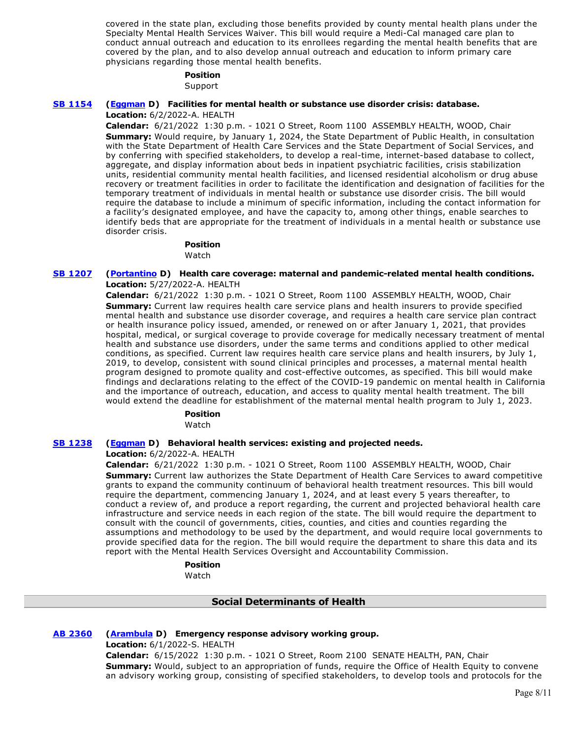covered in the state plan, excluding those benefits provided by county mental health plans under the Specialty Mental Health Services Waiver. This bill would require a Medi-Cal managed care plan to conduct annual outreach and education to its enrollees regarding the mental health benefits that are covered by the plan, and to also develop annual outreach and education to inform primary care physicians regarding those mental health benefits.

# **Position**

Support

# **[SB 1154](https://ctweb.capitoltrack.com/public/publishbillinfo.aspx?bi=SIKAOyzcp9FkyXJhcMR9GR2Egtn5F2XPT8llha1sFjI3%2Bfiu9BuGN6dHSamI%2BSLc) [\(Eggman](http://sd05.senate.ca.gov/) D) Facilities for mental health or substance use disorder crisis: database.**

**Location:** 6/2/2022-A. HEALTH

**Calendar:** 6/21/2022 1:30 p.m. - 1021 O Street, Room 1100 ASSEMBLY HEALTH, WOOD, Chair **Summary:** Would require, by January 1, 2024, the State Department of Public Health, in consultation with the State Department of Health Care Services and the State Department of Social Services, and by conferring with specified stakeholders, to develop a real-time, internet-based database to collect, aggregate, and display information about beds in inpatient psychiatric facilities, crisis stabilization units, residential community mental health facilities, and licensed residential alcoholism or drug abuse recovery or treatment facilities in order to facilitate the identification and designation of facilities for the temporary treatment of individuals in mental health or substance use disorder crisis. The bill would require the database to include a minimum of specific information, including the contact information for a facility's designated employee, and have the capacity to, among other things, enable searches to identify beds that are appropriate for the treatment of individuals in a mental health or substance use disorder crisis.

# **Position**

Watch

### **[SB 1207](https://ctweb.capitoltrack.com/public/publishbillinfo.aspx?bi=BfIx7qoFszHnGuBPvgrsCNlzVb%2FguaISm4gq8vZJ8vplHToKryThIU6CglO4oR8I) [\(Portantino](http://sd25.senate.ca.gov/) D) Health care coverage: maternal and pandemic-related mental health conditions. Location:** 5/27/2022-A. HEALTH

**Calendar:** 6/21/2022 1:30 p.m. - 1021 O Street, Room 1100 ASSEMBLY HEALTH, WOOD, Chair **Summary:** Current law requires health care service plans and health insurers to provide specified mental health and substance use disorder coverage, and requires a health care service plan contract or health insurance policy issued, amended, or renewed on or after January 1, 2021, that provides hospital, medical, or surgical coverage to provide coverage for medically necessary treatment of mental health and substance use disorders, under the same terms and conditions applied to other medical conditions, as specified. Current law requires health care service plans and health insurers, by July 1, 2019, to develop, consistent with sound clinical principles and processes, a maternal mental health program designed to promote quality and cost-effective outcomes, as specified. This bill would make findings and declarations relating to the effect of the COVID-19 pandemic on mental health in California and the importance of outreach, education, and access to quality mental health treatment. The bill would extend the deadline for establishment of the maternal mental health program to July 1, 2023.

# **Position**

Watch

# **[SB 1238](https://ctweb.capitoltrack.com/public/publishbillinfo.aspx?bi=OjZg0htuH1gY6vn7BX7VkAtMWvftGXa2GK50z6GXmrUtrSNlmId1%2BKxskLJFZ7oZ) [\(Eggman](http://sd05.senate.ca.gov/) D) Behavioral health services: existing and projected needs.**

**Location:** 6/2/2022-A. HEALTH

**Calendar:** 6/21/2022 1:30 p.m. - 1021 O Street, Room 1100 ASSEMBLY HEALTH, WOOD, Chair **Summary:** Current law authorizes the State Department of Health Care Services to award competitive grants to expand the community continuum of behavioral health treatment resources. This bill would require the department, commencing January 1, 2024, and at least every 5 years thereafter, to conduct a review of, and produce a report regarding, the current and projected behavioral health care infrastructure and service needs in each region of the state. The bill would require the department to consult with the council of governments, cities, counties, and cities and counties regarding the assumptions and methodology to be used by the department, and would require local governments to provide specified data for the region. The bill would require the department to share this data and its report with the Mental Health Services Oversight and Accountability Commission.

> **Position**  Watch

> > **Social Determinants of Health**

# **[AB 2360](https://ctweb.capitoltrack.com/public/publishbillinfo.aspx?bi=S4o5WDo9%2B9AfENOBq%2BBIePxxgnNqMH86Fznz%2F0bytCshN%2BV4xg6B4KMdUbdPaY%2B9) [\(Arambula](https://a31.asmdc.org/) D) Emergency response advisory working group.**

**Location:** 6/1/2022-S. HEALTH

**Calendar:** 6/15/2022 1:30 p.m. - 1021 O Street, Room 2100 SENATE HEALTH, PAN, Chair **Summary:** Would, subject to an appropriation of funds, require the Office of Health Equity to convene an advisory working group, consisting of specified stakeholders, to develop tools and protocols for the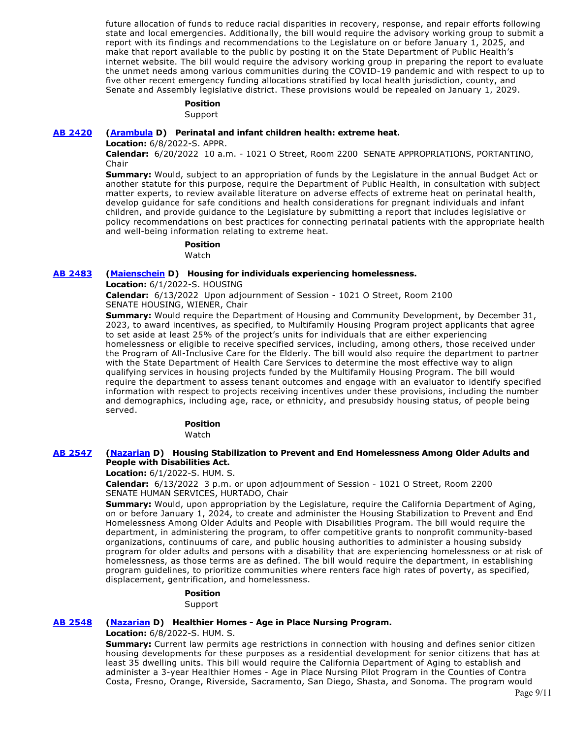future allocation of funds to reduce racial disparities in recovery, response, and repair efforts following state and local emergencies. Additionally, the bill would require the advisory working group to submit a report with its findings and recommendations to the Legislature on or before January 1, 2025, and make that report available to the public by posting it on the State Department of Public Health's internet website. The bill would require the advisory working group in preparing the report to evaluate the unmet needs among various communities during the COVID-19 pandemic and with respect to up to five other recent emergency funding allocations stratified by local health jurisdiction, county, and Senate and Assembly legislative district. These provisions would be repealed on January 1, 2029.

#### **Position**

Support

#### **[AB 2420](https://ctweb.capitoltrack.com/public/publishbillinfo.aspx?bi=oICQ%2FFgYItZLolaL2dRDXnfClKQLofva2wZPE9pvuqaKp6tjCi9Mk3wWwr3hpRlR) [\(Arambula](https://a31.asmdc.org/) D) Perinatal and infant children health: extreme heat.**

**Location:** 6/8/2022-S. APPR.

**Calendar:** 6/20/2022 10 a.m. - 1021 O Street, Room 2200 SENATE APPROPRIATIONS, PORTANTINO, Chair

**Summary:** Would, subject to an appropriation of funds by the Legislature in the annual Budget Act or another statute for this purpose, require the Department of Public Health, in consultation with subject matter experts, to review available literature on adverse effects of extreme heat on perinatal health, develop guidance for safe conditions and health considerations for pregnant individuals and infant children, and provide guidance to the Legislature by submitting a report that includes legislative or policy recommendations on best practices for connecting perinatal patients with the appropriate health and well-being information relating to extreme heat.

> **Position**  Watch

#### **[AB 2483](https://ctweb.capitoltrack.com/public/publishbillinfo.aspx?bi=D8ALISlvGWriTRFrh2c7xhf%2FvkYFV1T4CcvaFlaTPiwF%2Bwy2I%2FveD5vs1jcbsWSA) [\(Maienschein](https://a77.asmdc.org/) D) Housing for individuals experiencing homelessness.**

**Location:** 6/1/2022-S. HOUSING

**Calendar:** 6/13/2022 Upon adjournment of Session - 1021 O Street, Room 2100 SENATE HOUSING, WIENER, Chair

**Summary:** Would require the Department of Housing and Community Development, by December 31, 2023, to award incentives, as specified, to Multifamily Housing Program project applicants that agree to set aside at least 25% of the project's units for individuals that are either experiencing homelessness or eligible to receive specified services, including, among others, those received under the Program of All-Inclusive Care for the Elderly. The bill would also require the department to partner with the State Department of Health Care Services to determine the most effective way to align qualifying services in housing projects funded by the Multifamily Housing Program. The bill would require the department to assess tenant outcomes and engage with an evaluator to identify specified information with respect to projects receiving incentives under these provisions, including the number and demographics, including age, race, or ethnicity, and presubsidy housing status, of people being served.

# **Position**

Watch

### **[AB 2547](https://ctweb.capitoltrack.com/public/publishbillinfo.aspx?bi=%2BjqqYL0OiE%2FqHw9kLLjN53sVEgSzZEvrL%2ByB76wKjEDNYCApYjFKWscJ5Be%2B7Tb9) [\(Nazarian](https://a46.asmdc.org/) D) Housing Stabilization to Prevent and End Homelessness Among Older Adults and People with Disabilities Act.**

#### **Location:** 6/1/2022-S. HUM. S.

**Calendar:** 6/13/2022 3 p.m. or upon adjournment of Session - 1021 O Street, Room 2200 SENATE HUMAN SERVICES, HURTADO, Chair

**Summary:** Would, upon appropriation by the Legislature, require the California Department of Aging, on or before January 1, 2024, to create and administer the Housing Stabilization to Prevent and End Homelessness Among Older Adults and People with Disabilities Program. The bill would require the department, in administering the program, to offer competitive grants to nonprofit community-based organizations, continuums of care, and public housing authorities to administer a housing subsidy program for older adults and persons with a disability that are experiencing homelessness or at risk of homelessness, as those terms are as defined. The bill would require the department, in establishing program guidelines, to prioritize communities where renters face high rates of poverty, as specified, displacement, gentrification, and homelessness.

#### **Position**

Support

#### **[AB 2548](https://ctweb.capitoltrack.com/public/publishbillinfo.aspx?bi=iMkIjM9XyZD32%2Fj6x%2BOY1WYrdSxHgUdGs5rif9yCx5R0v8NV34fz4PwFaHvRMvsx) [\(Nazarian](https://a46.asmdc.org/) D) Healthier Homes - Age in Place Nursing Program.**

**Location:** 6/8/2022-S. HUM. S.

**Summary:** Current law permits age restrictions in connection with housing and defines senior citizen housing developments for these purposes as a residential development for senior citizens that has at least 35 dwelling units. This bill would require the California Department of Aging to establish and administer a 3-year Healthier Homes - Age in Place Nursing Pilot Program in the Counties of Contra Costa, Fresno, Orange, Riverside, Sacramento, San Diego, Shasta, and Sonoma. The program would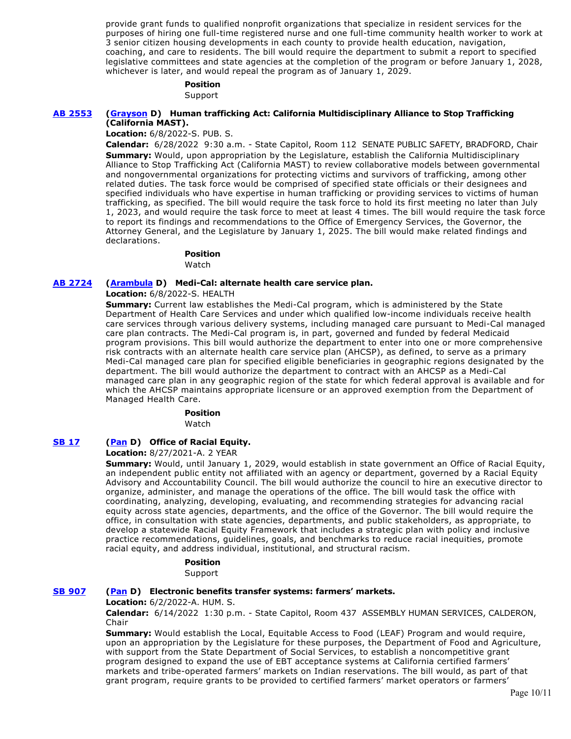provide grant funds to qualified nonprofit organizations that specialize in resident services for the purposes of hiring one full-time registered nurse and one full-time community health worker to work at 3 senior citizen housing developments in each county to provide health education, navigation, coaching, and care to residents. The bill would require the department to submit a report to specified legislative committees and state agencies at the completion of the program or before January 1, 2028, whichever is later, and would repeal the program as of January 1, 2029.

# **Position**

Support

# **[AB 2553](https://ctweb.capitoltrack.com/public/publishbillinfo.aspx?bi=JmcoXzoeJiXFLcZch5yigde%2Bcyy4elaRAQx8ZwBkxckV2qJ3VW3vVbh7hYI6INbe) [\(Grayson](https://a14.asmdc.org/) D) Human trafficking Act: California Multidisciplinary Alliance to Stop Trafficking (California MAST).**

**Location:** 6/8/2022-S. PUB. S.

**Calendar:** 6/28/2022 9:30 a.m. - State Capitol, Room 112 SENATE PUBLIC SAFETY, BRADFORD, Chair **Summary:** Would, upon appropriation by the Legislature, establish the California Multidisciplinary Alliance to Stop Trafficking Act (California MAST) to review collaborative models between governmental and nongovernmental organizations for protecting victims and survivors of trafficking, among other related duties. The task force would be comprised of specified state officials or their designees and specified individuals who have expertise in human trafficking or providing services to victims of human trafficking, as specified. The bill would require the task force to hold its first meeting no later than July 1, 2023, and would require the task force to meet at least 4 times. The bill would require the task force to report its findings and recommendations to the Office of Emergency Services, the Governor, the Attorney General, and the Legislature by January 1, 2025. The bill would make related findings and declarations.

#### **Position**

Watch

#### **[AB 2724](https://ctweb.capitoltrack.com/public/publishbillinfo.aspx?bi=87zZT%2BgcOhFNBkX00iCCDlRJesDpMdThi05DVxph1WMjt4wiQHTVchVtgdOI00s5) [\(Arambula](https://a31.asmdc.org/) D) Medi-Cal: alternate health care service plan.**

**Location:** 6/8/2022-S. HEALTH

**Summary:** Current law establishes the Medi-Cal program, which is administered by the State Department of Health Care Services and under which qualified low-income individuals receive health care services through various delivery systems, including managed care pursuant to Medi-Cal managed care plan contracts. The Medi-Cal program is, in part, governed and funded by federal Medicaid program provisions. This bill would authorize the department to enter into one or more comprehensive risk contracts with an alternate health care service plan (AHCSP), as defined, to serve as a primary Medi-Cal managed care plan for specified eligible beneficiaries in geographic regions designated by the department. The bill would authorize the department to contract with an AHCSP as a Medi-Cal managed care plan in any geographic region of the state for which federal approval is available and for which the AHCSP maintains appropriate licensure or an approved exemption from the Department of Managed Health Care.

#### **Position**

Watch

# **[SB 17](https://ctweb.capitoltrack.com/public/publishbillinfo.aspx?bi=dBaE3CGJpiGexGpCGI9ZA9mGDSu3R3h8gdgNi5yyapMHbWZPikU1e7jTWnNDjpL9) [\(Pan](http://sd06.senate.ca.gov/) D) Office of Racial Equity.**

**Location:** 8/27/2021-A. 2 YEAR

**Summary:** Would, until January 1, 2029, would establish in state government an Office of Racial Equity, an independent public entity not affiliated with an agency or department, governed by a Racial Equity Advisory and Accountability Council. The bill would authorize the council to hire an executive director to organize, administer, and manage the operations of the office. The bill would task the office with coordinating, analyzing, developing, evaluating, and recommending strategies for advancing racial equity across state agencies, departments, and the office of the Governor. The bill would require the office, in consultation with state agencies, departments, and public stakeholders, as appropriate, to develop a statewide Racial Equity Framework that includes a strategic plan with policy and inclusive practice recommendations, guidelines, goals, and benchmarks to reduce racial inequities, promote racial equity, and address individual, institutional, and structural racism.

> **Position**  Support

# **[SB 907](https://ctweb.capitoltrack.com/public/publishbillinfo.aspx?bi=nIx6X2crzmFr0TWxcYW%2B9kpY%2B5Vcf%2FQzpoT2zOu%2Bk6kh9IF0klsUId4YkFjXzovS) [\(Pan](http://sd06.senate.ca.gov/) D) Electronic benefits transfer systems: farmers' markets.**

**Location:** 6/2/2022-A. HUM. S.

**Calendar:** 6/14/2022 1:30 p.m. - State Capitol, Room 437 ASSEMBLY HUMAN SERVICES, CALDERON, Chair

**Summary:** Would establish the Local, Equitable Access to Food (LEAF) Program and would require, upon an appropriation by the Legislature for these purposes, the Department of Food and Agriculture, with support from the State Department of Social Services, to establish a noncompetitive grant program designed to expand the use of EBT acceptance systems at California certified farmers' markets and tribe-operated farmers' markets on Indian reservations. The bill would, as part of that grant program, require grants to be provided to certified farmers' market operators or farmers'